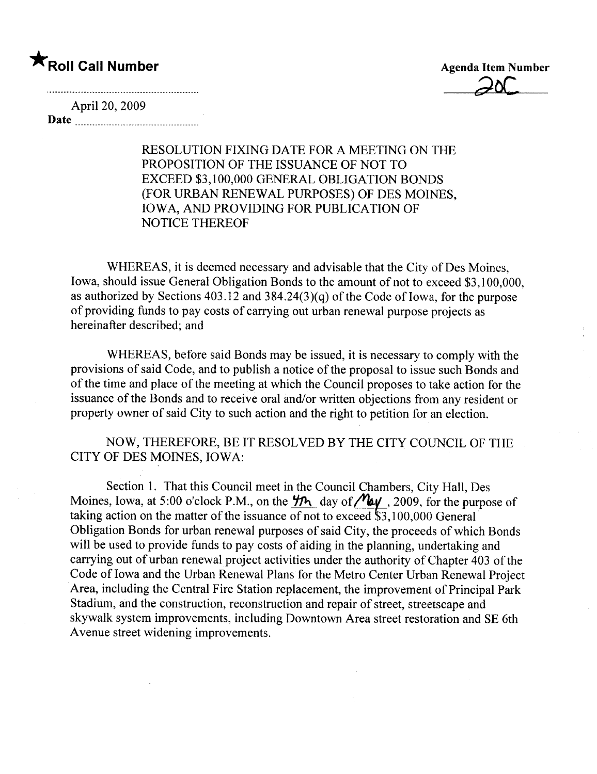### \*Roll Call Number Agenda Item Number

 $20C$ 

April 20, 2009

Date

RESOLUTION FIXING DATE FOR A MEETING ON THE PROPOSITION OF THE ISSUANCE OF NOT TO EXCEED \$3,100,000 GENERAL OBLIGATION BONDS (FOR URBAN RENEWAL PURPOSES) OF DES MOINES, IOWA, AND PROVIDING FOR PUBLICATION OF NOTICE THEREOF

WHEREAS, it is deemed necessary and advisable that the City of Des Moines, Iowa, should issue General Obligation Bonds to the amount of not to exceed \$3,100,000, as authorized by Sections  $403.12$  and  $384.24(3)(q)$  of the Code of Iowa, for the purpose of providing funds to pay costs of carrying out urban renewal purpose projects as hereinafter described; and

WHEREAS, before said Bonds may be issued, it is necessary to comply with the provisions of said Code, and to publish a notice of the proposal to issue such Bonds and of the time and place of the meeting at which the Council proposes to take action for the issuance of the Bonds and to receive oral and/or written objections from any resident or property owner of said City to such action and the right to petition for an election.

NOW, THEREFORE, BE IT RESOLVED BY THE CITY COUNCIL OF THE CITY OF DES MOINES, IOWA:

Section 1. That this Council meet in the Council Chambers, City Hall, Des Moines, Iowa, at 5:00 o'clock P.M., on the  $\frac{1}{2}$  day of  $\frac{M_{\alpha}y}{\alpha}$ , 2009, for the purpose of taking action on the matter of the issuance of not to exceed \$3,100,000 General. Obligation Bonds for urban renewal purposes of said City, the proceeds of which Bonds will be used to provide funds to pay costs of aiding in the planning, undertaking and carrying out of urban renewal project activities under the authority of Chapter 403 of the Code of Iowa and the Urban Renewal Plans for the Metro Center Urban Renewal Project Area, including the Central Fire Station replacement, the improvement of Principal Park Stadium, and the construction, reconstruction and repair of street, streetscape and skywalk system improvements, including Downtown Area street restoration and SE 6th Avenue street widening improvements.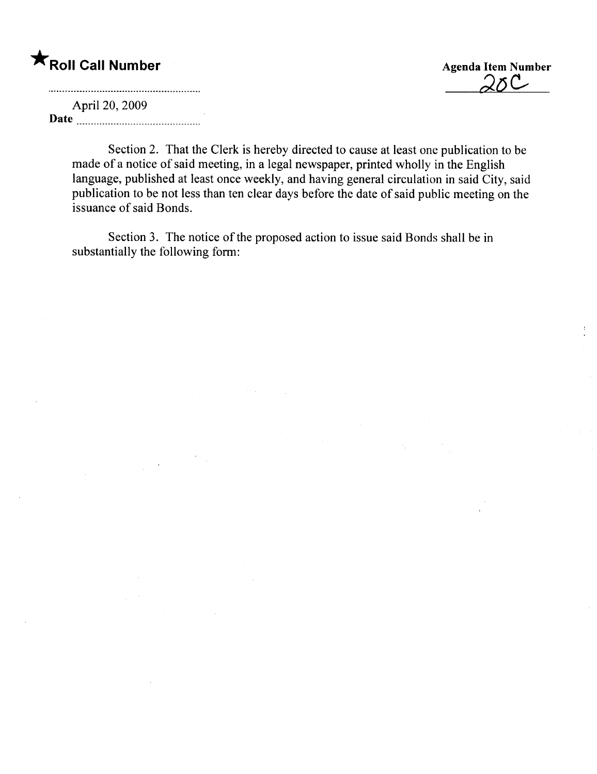## \* Roll Call Number Agenda Item Number

 $20C$ 

April 20, 2009 Date

> Section 2. That the Clerk is hereby directed to cause at least one publication to be made of a notice of said meeting, in a legal newspaper, printed wholly in the English language, published at least once weekly, and having general circulation in said City, said publication to be not less than ten clear days before the date of said public meeting on the issuance of said Bonds.

Section 3. The notice of the proposed action to issue said Bonds shall be in substantially the following form: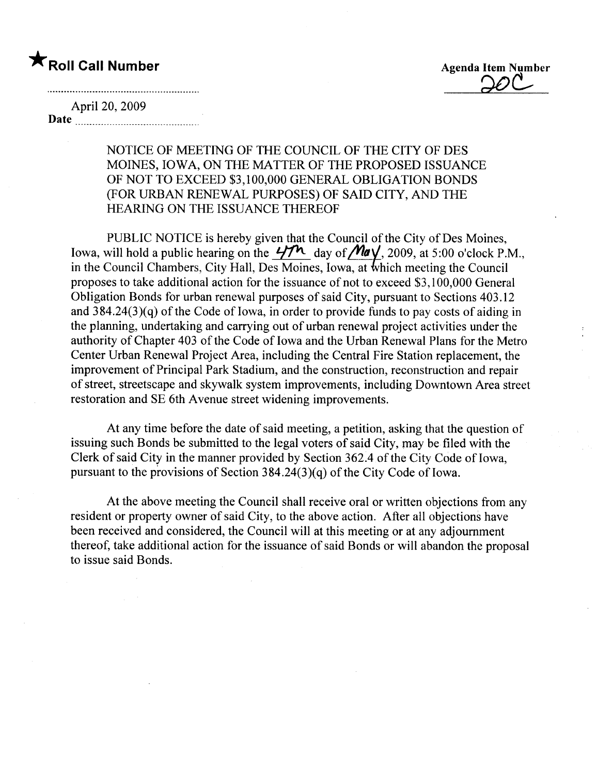$\blacksquare$  Roll Call Number  $\blacksquare$  Agenda Item Number  $\Omega$ 

April 20, 2009 Date <u>music music music music music</u>

> NOTICE OF MEETING OF THE COUNCIL OF THE CITY OF DES MOINES, IOWA, ON THE MATTER OF THE PROPOSED ISSUANCE OF NOT TO EXCEED \$3,100,000 GENERAL OBLIGATION BONDS (FOR URBAN RENEWAL PURPOSES) OF SAID CITY, AND THE HEARING ON THE ISSUANCE THEREOF

PUBLIC NOTICE is hereby given that the Council of the City of Des Moines, Iowa, will hold a public hearing on the  $47^{\prime\prime}$  day of  $\mathcal{M}a\sqrt{2009}$ , at 5:00 o'clock P.M., in the Council Chambers, City Hall, Des Moines, Iowa, at which meeting the Council proposes to take additional action for the issuance of not to exceed \$3,100,000 General Obligation Bonds for urban renewal purposes of said City, pursuant to Sections 403.12 and  $384.24(3)(q)$  of the Code of Iowa, in order to provide funds to pay costs of aiding in the planning, undertaking and carrying out of urban renewal project activities under the authority of Chapter 403 of the Code of Iowa and the Urban Renewal Plans for the Metro Center Urban Renewal Project Area, including the Central Fire Station replacement, the improvement of Principal Park Stadium, and the construction, reconstruction and repair of street, streets cape and skywalk system improvements, including Downtown Area street restoration and SE 6th Avenue street widening improvements.

At any time before the date of said meeting, a petition, asking that the question of issuing such Bonds be submitted to the legal voters of said City, may be filed with the Clerk of said City in the manner provided by Section 362.4 of the City Code of Iowa, pursuant to the provisions of Section  $384.24(3)(q)$  of the City Code of Iowa.

At the above meeting the Council shall receive oral or written objections from any resident or property owner of said City, to the above action. After all objections have been received and considered, the Council will at this meeting or at any adjournment thereof, take additional action for the issuance of said Bonds or will abandon the proposal to issue said Bonds.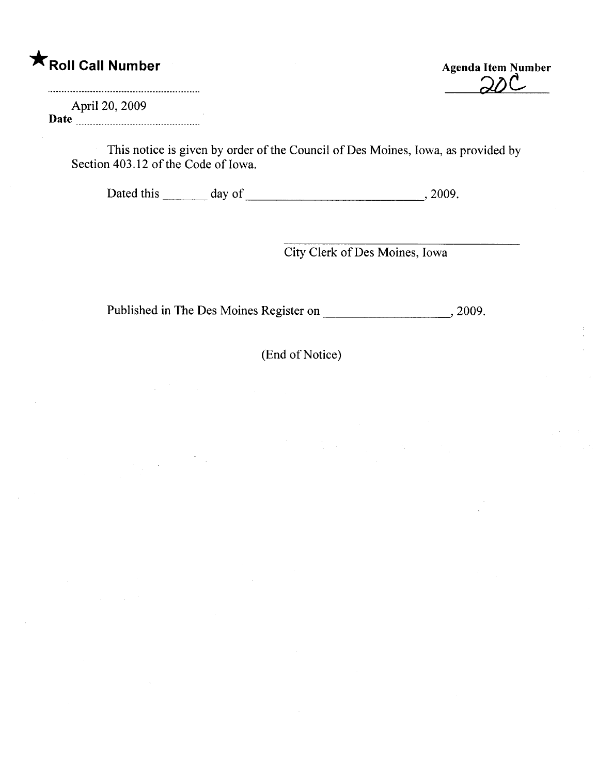## \* Roll Call Number Agenda Item Number

April 20, 2009 Date  $\frac{120,200}{200}$ 

 $\mathcal{L}^{\text{max}}_{\text{max}}$ 

This notice is given by order of the Council of Des Moines, Iowa, as provided by Section 403.12 of the Code of Iowa.

Dated this day of , 2009.

City Clerk of Des Moines, Iowa

Published in The Des Moines Register on ,2009.

(End of Notice)